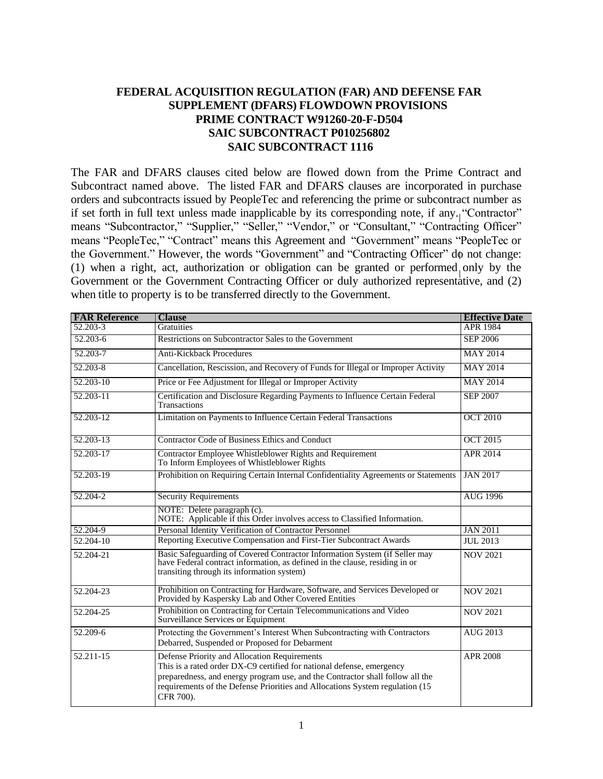# **FEDERAL ACQUISITION REGULATION (FAR) AND DEFENSE FAR SUPPLEMENT (DFARS) FLOWDOWN PROVISIONS PRIME CONTRACT W91260-20-F-D504 SAIC SUBCONTRACT P010256802 SAIC SUBCONTRACT 1116**

The FAR and DFARS clauses cited below are flowed down from the Prime Contract and Subcontract named above. The listed FAR and DFARS clauses are incorporated in purchase orders and subcontracts issued by PeopleTec and referencing the prime or subcontract number as if set forth in full text unless made inapplicable by its corresponding note, if any. "Contractor" means "Subcontractor," "Supplier," "Seller," "Vendor," or "Consultant," "Contracting Officer" means "PeopleTec," "Contract" means this Agreement and "Government" means "PeopleTec or the Government." However, the words "Government" and "Contracting Officer" do not change: (1) when a right, act, authorization or obligation can be granted or performed only by the Government or the Government Contracting Officer or duly authorized representative, and (2) when title to property is to be transferred directly to the Government.

| <b>FAR Reference</b> | <b>Clause</b>                                                                                                                                                                                                                                                                                       | <b>Effective Date</b> |
|----------------------|-----------------------------------------------------------------------------------------------------------------------------------------------------------------------------------------------------------------------------------------------------------------------------------------------------|-----------------------|
| 52.203-3             | <b>Gratuities</b>                                                                                                                                                                                                                                                                                   | <b>APR 1984</b>       |
| $52.203 - 6$         | Restrictions on Subcontractor Sales to the Government                                                                                                                                                                                                                                               | SEP 2006              |
| 52.203-7             | <b>Anti-Kickback Procedures</b>                                                                                                                                                                                                                                                                     | <b>MAY 2014</b>       |
| $52.203 - 8$         | Cancellation, Rescission, and Recovery of Funds for Illegal or Improper Activity                                                                                                                                                                                                                    | <b>MAY 2014</b>       |
| $52.203 - 10$        | Price or Fee Adjustment for Illegal or Improper Activity                                                                                                                                                                                                                                            | <b>MAY 2014</b>       |
| $52.203 - 11$        | Certification and Disclosure Regarding Payments to Influence Certain Federal<br>Transactions                                                                                                                                                                                                        | <b>SEP 2007</b>       |
| 52.203-12            | Limitation on Payments to Influence Certain Federal Transactions                                                                                                                                                                                                                                    | <b>OCT 2010</b>       |
| $52.203 - 13$        | Contractor Code of Business Ethics and Conduct                                                                                                                                                                                                                                                      | <b>OCT 2015</b>       |
| 52.203-17            | Contractor Employee Whistleblower Rights and Requirement<br>To Inform Employees of Whistleblower Rights                                                                                                                                                                                             | <b>APR 2014</b>       |
| 52.203-19            | Prohibition on Requiring Certain Internal Confidentiality Agreements or Statements                                                                                                                                                                                                                  | <b>JAN 2017</b>       |
| $52.204 - 2$         | <b>Security Requirements</b>                                                                                                                                                                                                                                                                        | <b>AUG 1996</b>       |
|                      | NOTE: Delete paragraph (c).<br>NOTE: Applicable if this Order involves access to Classified Information.                                                                                                                                                                                            |                       |
| 52.204-9             | Personal Identity Verification of Contractor Personnel                                                                                                                                                                                                                                              | <b>JAN 2011</b>       |
| 52.204-10            | Reporting Executive Compensation and First-Tier Subcontract Awards                                                                                                                                                                                                                                  | <b>JUL 2013</b>       |
| 52.204-21            | Basic Safeguarding of Covered Contractor Information System (if Seller may<br>have Federal contract information, as defined in the clause, residing in or<br>transiting through its information system)                                                                                             | <b>NOV 2021</b>       |
| 52.204-23            | Prohibition on Contracting for Hardware, Software, and Services Developed or<br>Provided by Kaspersky Lab and Other Covered Entities                                                                                                                                                                | <b>NOV 2021</b>       |
| 52.204-25            | Prohibition on Contracting for Certain Telecommunications and Video<br>Surveillance Services or Equipment                                                                                                                                                                                           | <b>NOV 2021</b>       |
| 52.209-6             | Protecting the Government's Interest When Subcontracting with Contractors<br>Debarred, Suspended or Proposed for Debarment                                                                                                                                                                          | AUG 2013              |
| 52.211-15            | Defense Priority and Allocation Requirements<br>This is a rated order DX-C9 certified for national defense, emergency<br>preparedness, and energy program use, and the Contractor shall follow all the<br>requirements of the Defense Priorities and Allocations System regulation (15<br>CFR 700). | <b>APR 2008</b>       |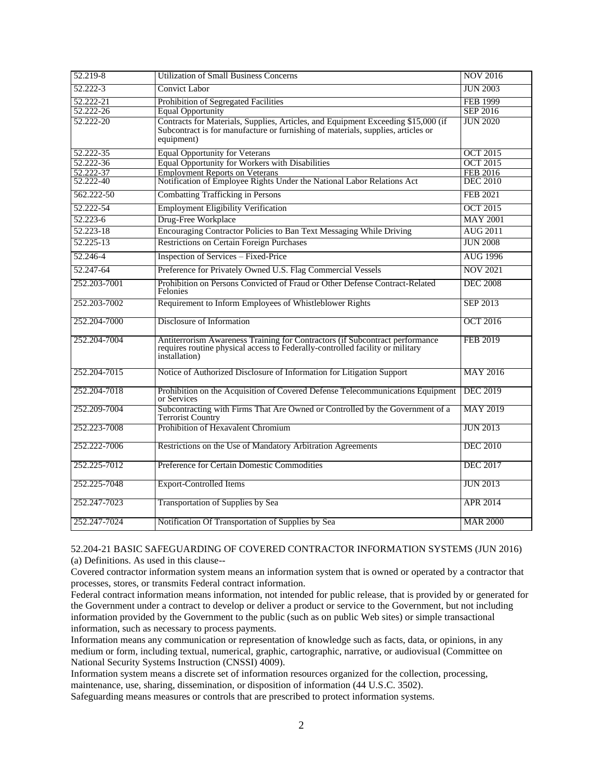| 52.219-8               | <b>Utilization of Small Business Concerns</b>                                                                                                                                       | <b>NOV 2016</b>      |
|------------------------|-------------------------------------------------------------------------------------------------------------------------------------------------------------------------------------|----------------------|
| 52.222-3               | Convict Labor                                                                                                                                                                       | <b>JUN 2003</b>      |
| 52.222-21              | Prohibition of Segregated Facilities                                                                                                                                                | <b>FEB 1999</b>      |
| 52.222-26              | <b>Equal Opportunity</b>                                                                                                                                                            | <b>SEP 2016</b>      |
| 52.222-20              | Contracts for Materials, Supplies, Articles, and Equipment Exceeding \$15,000 (if<br>Subcontract is for manufacture or furnishing of materials, supplies, articles or<br>equipment) | <b>JUN 2020</b>      |
| 52.222-35              | <b>Equal Opportunity for Veterans</b>                                                                                                                                               | <b>OCT 2015</b>      |
| 52.222-36              | Equal Opportunity for Workers with Disabilities                                                                                                                                     | <b>OCT 2015</b>      |
| 52.222-37<br>52.222-40 | Employment Reports on Veterans<br>Notification of Employee Rights Under the National Labor Relations Act                                                                            | FEB 2016<br>DEC 2010 |
|                        |                                                                                                                                                                                     |                      |
| 562.222-50             | <b>Combatting Trafficking in Persons</b>                                                                                                                                            | FEB 2021             |
| 52.222-54              | <b>Employment Eligibility Verification</b>                                                                                                                                          | <b>OCT 2015</b>      |
| 52.223-6               | Drug-Free Workplace                                                                                                                                                                 | <b>MAY 2001</b>      |
| 52.223-18              | Encouraging Contractor Policies to Ban Text Messaging While Driving                                                                                                                 | <b>AUG 2011</b>      |
| 52.225-13              | <b>Restrictions on Certain Foreign Purchases</b>                                                                                                                                    | <b>JUN 2008</b>      |
| 52.246-4               | <b>Inspection of Services - Fixed-Price</b>                                                                                                                                         | <b>AUG 1996</b>      |
| 52.247-64              | Preference for Privately Owned U.S. Flag Commercial Vessels                                                                                                                         | <b>NOV 2021</b>      |
| 252.203-7001           | Prohibition on Persons Convicted of Fraud or Other Defense Contract-Related<br>Felonies                                                                                             | <b>DEC 2008</b>      |
| 252.203-7002           | Requirement to Inform Employees of Whistleblower Rights                                                                                                                             | <b>SEP 2013</b>      |
| 252.204-7000           | Disclosure of Information                                                                                                                                                           | <b>OCT 2016</b>      |
| 252.204-7004           | Antiterrorism Awareness Training for Contractors (if Subcontract performance requires routine physical access to Federally-controlled facility or military<br>installation)         | FEB 2019             |
| 252.204-7015           | Notice of Authorized Disclosure of Information for Litigation Support                                                                                                               | <b>MAY 2016</b>      |
| 252.204-7018           | Prohibition on the Acquisition of Covered Defense Telecommunications Equipment<br>or Services                                                                                       | <b>DEC 2019</b>      |
| 252.209-7004           | Subcontracting with Firms That Are Owned or Controlled by the Government of a<br><b>Terrorist Country</b>                                                                           | <b>MAY 2019</b>      |
| 252,223-7008           | Prohibition of Hexavalent Chromium                                                                                                                                                  | <b>JUN 2013</b>      |
| 252.222-7006           | Restrictions on the Use of Mandatory Arbitration Agreements                                                                                                                         | <b>DEC 2010</b>      |
| 252.225-7012           | Preference for Certain Domestic Commodities                                                                                                                                         | <b>DEC 2017</b>      |
| 252.225-7048           | <b>Export-Controlled Items</b>                                                                                                                                                      | <b>JUN 2013</b>      |
| 252.247-7023           | <b>Transportation of Supplies by Sea</b>                                                                                                                                            | APR 2014             |
| 252.247-7024           | Notification Of Transportation of Supplies by Sea                                                                                                                                   | <b>MAR 2000</b>      |

#### 52.204-21 BASIC SAFEGUARDING OF COVERED CONTRACTOR INFORMATION SYSTEMS (JUN 2016) (a) Definitions. As used in this clause--

Covered contractor information system means an information system that is owned or operated by a contractor that processes, stores, or transmits Federal contract information.

Federal contract information means information, not intended for public release, that is provided by or generated for the Government under a contract to develop or deliver a product or service to the Government, but not including information provided by the Government to the public (such as on public Web sites) or simple transactional information, such as necessary to process payments.

Information means any communication or representation of knowledge such as facts, data, or opinions, in any medium or form, including textual, numerical, graphic, cartographic, narrative, or audiovisual (Committee on National Security Systems Instruction (CNSSI) 4009).

Information system means a discrete set of information resources organized for the collection, processing, maintenance, use, sharing, dissemination, or disposition of information (44 U.S.C. 3502).

Safeguarding means measures or controls that are prescribed to protect information systems.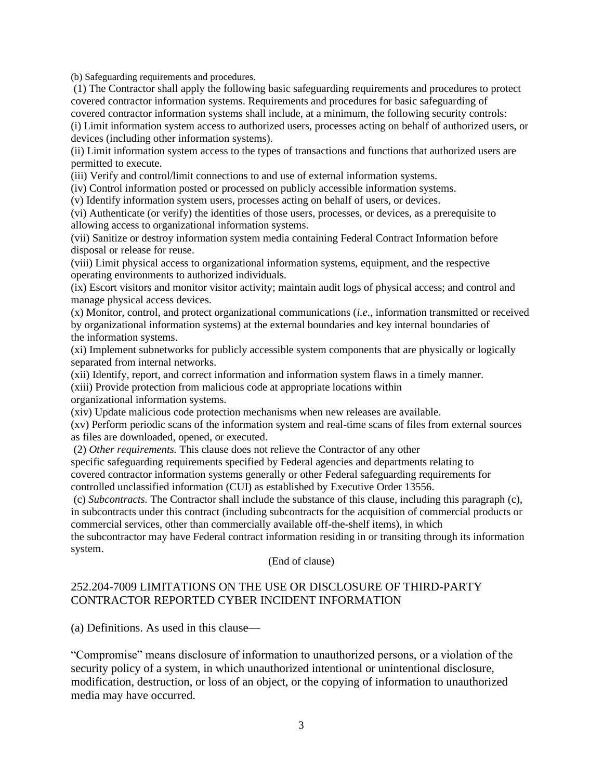(b) Safeguarding requirements and procedures.

(1) The Contractor shall apply the following basic safeguarding requirements and procedures to protect covered contractor information systems. Requirements and procedures for basic safeguarding of covered contractor information systems shall include, at a minimum, the following security controls:

(i) Limit information system access to authorized users, processes acting on behalf of authorized users, or devices (including other information systems).

(ii) Limit information system access to the types of transactions and functions that authorized users are permitted to execute.

(iii) Verify and control/limit connections to and use of external information systems.

(iv) Control information posted or processed on publicly accessible information systems.

(v) Identify information system users, processes acting on behalf of users, or devices.

(vi) Authenticate (or verify) the identities of those users, processes, or devices, as a prerequisite to allowing access to organizational information systems.

(vii) Sanitize or destroy information system media containing Federal Contract Information before disposal or release for reuse.

(viii) Limit physical access to organizational information systems, equipment, and the respective operating environments to authorized individuals.

(ix) Escort visitors and monitor visitor activity; maintain audit logs of physical access; and control and manage physical access devices.

(x) Monitor, control, and protect organizational communications (*i.e*., information transmitted or received by organizational information systems) at the external boundaries and key internal boundaries of the information systems.

(xi) Implement subnetworks for publicly accessible system components that are physically or logically separated from internal networks.

(xii) Identify, report, and correct information and information system flaws in a timely manner.

(xiii) Provide protection from malicious code at appropriate locations within

organizational information systems.

(xiv) Update malicious code protection mechanisms when new releases are available.

(xv) Perform periodic scans of the information system and real-time scans of files from external sources as files are downloaded, opened, or executed.

(2) *Other requirements.* This clause does not relieve the Contractor of any other

specific safeguarding requirements specified by Federal agencies and departments relating to covered contractor information systems generally or other Federal safeguarding requirements for controlled unclassified information (CUI) as established by Executive Order 13556.

(c) *Subcontracts.* The Contractor shall include the substance of this clause, including this paragraph (c), in subcontracts under this contract (including subcontracts for the acquisition of commercial products or commercial services, other than commercially available off-the-shelf items), in which the subcontractor may have Federal contract information residing in or transiting through its information

system.

(End of clause)

## 252.204-7009 LIMITATIONS ON THE USE OR DISCLOSURE OF THIRD-PARTY CONTRACTOR REPORTED CYBER INCIDENT INFORMATION

(a) Definitions. As used in this clause—

"Compromise" means disclosure of information to unauthorized persons, or a violation of the security policy of a system, in which unauthorized intentional or unintentional disclosure, modification, destruction, or loss of an object, or the copying of information to unauthorized media may have occurred.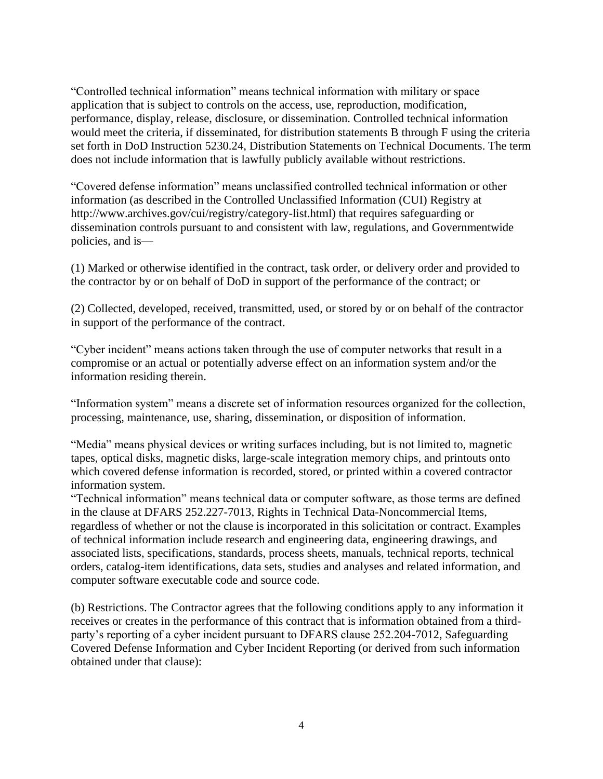"Controlled technical information" means technical information with military or space application that is subject to controls on the access, use, reproduction, modification, performance, display, release, disclosure, or dissemination. Controlled technical information would meet the criteria, if disseminated, for distribution statements B through F using the criteria set forth in DoD Instruction 5230.24, Distribution Statements on Technical Documents. The term does not include information that is lawfully publicly available without restrictions.

"Covered defense information" means unclassified controlled technical information or other information (as described in the Controlled Unclassified Information (CUI) Registry at http://www.archives.gov/cui/registry/category-list.html) that requires safeguarding or dissemination controls pursuant to and consistent with law, regulations, and Governmentwide policies, and is—

(1) Marked or otherwise identified in the contract, task order, or delivery order and provided to the contractor by or on behalf of DoD in support of the performance of the contract; or

(2) Collected, developed, received, transmitted, used, or stored by or on behalf of the contractor in support of the performance of the contract.

"Cyber incident" means actions taken through the use of computer networks that result in a compromise or an actual or potentially adverse effect on an information system and/or the information residing therein.

"Information system" means a discrete set of information resources organized for the collection, processing, maintenance, use, sharing, dissemination, or disposition of information.

"Media" means physical devices or writing surfaces including, but is not limited to, magnetic tapes, optical disks, magnetic disks, large-scale integration memory chips, and printouts onto which covered defense information is recorded, stored, or printed within a covered contractor information system.

"Technical information" means technical data or computer software, as those terms are defined in the clause at DFARS 252.227-7013, Rights in Technical Data-Noncommercial Items, regardless of whether or not the clause is incorporated in this solicitation or contract. Examples of technical information include research and engineering data, engineering drawings, and associated lists, specifications, standards, process sheets, manuals, technical reports, technical orders, catalog-item identifications, data sets, studies and analyses and related information, and computer software executable code and source code.

(b) Restrictions. The Contractor agrees that the following conditions apply to any information it receives or creates in the performance of this contract that is information obtained from a thirdparty's reporting of a cyber incident pursuant to DFARS clause 252.204-7012, Safeguarding Covered Defense Information and Cyber Incident Reporting (or derived from such information obtained under that clause):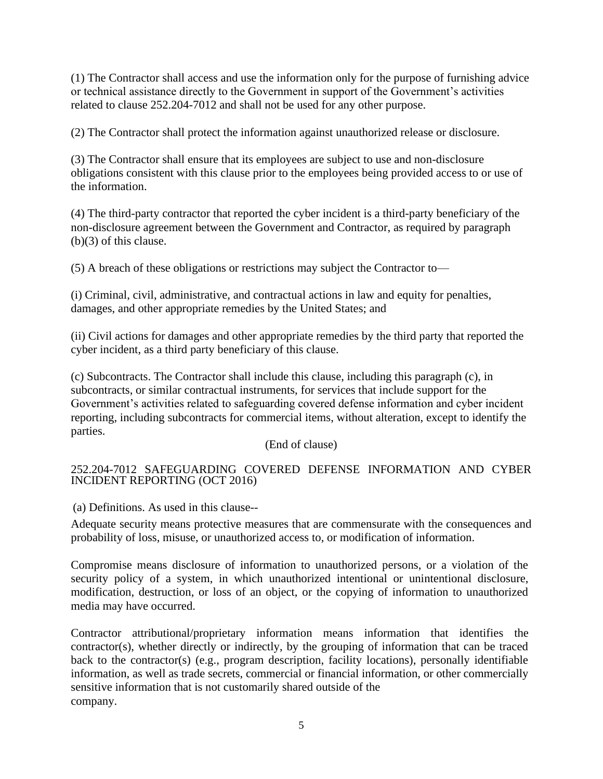(1) The Contractor shall access and use the information only for the purpose of furnishing advice or technical assistance directly to the Government in support of the Government's activities related to clause 252.204-7012 and shall not be used for any other purpose.

(2) The Contractor shall protect the information against unauthorized release or disclosure.

(3) The Contractor shall ensure that its employees are subject to use and non-disclosure obligations consistent with this clause prior to the employees being provided access to or use of the information.

(4) The third-party contractor that reported the cyber incident is a third-party beneficiary of the non-disclosure agreement between the Government and Contractor, as required by paragraph (b)(3) of this clause.

(5) A breach of these obligations or restrictions may subject the Contractor to—

(i) Criminal, civil, administrative, and contractual actions in law and equity for penalties, damages, and other appropriate remedies by the United States; and

(ii) Civil actions for damages and other appropriate remedies by the third party that reported the cyber incident, as a third party beneficiary of this clause.

(c) Subcontracts. The Contractor shall include this clause, including this paragraph (c), in subcontracts, or similar contractual instruments, for services that include support for the Government's activities related to safeguarding covered defense information and cyber incident reporting, including subcontracts for commercial items, without alteration, except to identify the parties.

# (End of clause)

## 252.204-7012 SAFEGUARDING COVERED DEFENSE INFORMATION AND CYBER INCIDENT REPORTING (OCT 2016)

(a) Definitions. As used in this clause--

Adequate security means protective measures that are commensurate with the consequences and probability of loss, misuse, or unauthorized access to, or modification of information.

Compromise means disclosure of information to unauthorized persons, or a violation of the security policy of a system, in which unauthorized intentional or unintentional disclosure, modification, destruction, or loss of an object, or the copying of information to unauthorized media may have occurred.

Contractor attributional/proprietary information means information that identifies the contractor(s), whether directly or indirectly, by the grouping of information that can be traced back to the contractor(s) (e.g., program description, facility locations), personally identifiable information, as well as trade secrets, commercial or financial information, or other commercially sensitive information that is not customarily shared outside of the company.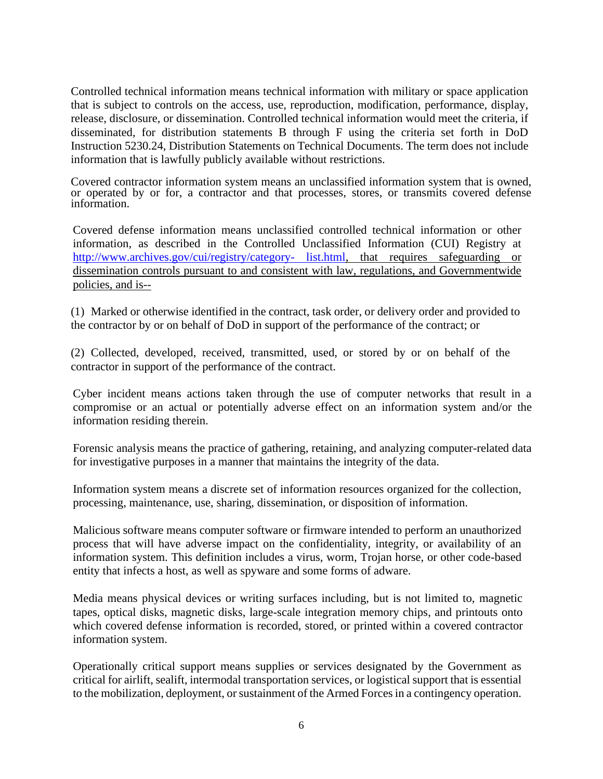Controlled technical information means technical information with military or space application that is subject to controls on the access, use, reproduction, modification, performance, display, release, disclosure, or dissemination. Controlled technical information would meet the criteria, if disseminated, for distribution statements B through F using the criteria set forth in DoD Instruction 5230.24, Distribution Statements on Technical Documents. The term does not include information that is lawfully publicly available without restrictions.

Covered contractor information system means an unclassified information system that is owned, or operated by or for, a contractor and that processes, stores, or transmits covered defense information.

Covered defense information means unclassified controlled technical information or other information, as described in the Controlled Unclassified Information (CUI) Registry at [http://www.archives.gov/cui/registry/category-](http://www.archives.gov/cui/registry/category-list.html) [list.html,](http://www.archives.gov/cui/registry/category-list.html) that requires safeguarding or dissemination controls pursuant to and consistent with law, regulations, and Governmentwide policies, and is--

(1) Marked or otherwise identified in the contract, task order, or delivery order and provided to the contractor by or on behalf of DoD in support of the performance of the contract; or

(2) Collected, developed, received, transmitted, used, or stored by or on behalf of the contractor in support of the performance of the contract.

Cyber incident means actions taken through the use of computer networks that result in a compromise or an actual or potentially adverse effect on an information system and/or the information residing therein.

Forensic analysis means the practice of gathering, retaining, and analyzing computer-related data for investigative purposes in a manner that maintains the integrity of the data.

Information system means a discrete set of information resources organized for the collection, processing, maintenance, use, sharing, dissemination, or disposition of information.

Malicious software means computer software or firmware intended to perform an unauthorized process that will have adverse impact on the confidentiality, integrity, or availability of an information system. This definition includes a virus, worm, Trojan horse, or other code-based entity that infects a host, as well as spyware and some forms of adware.

Media means physical devices or writing surfaces including, but is not limited to, magnetic tapes, optical disks, magnetic disks, large-scale integration memory chips, and printouts onto which covered defense information is recorded, stored, or printed within a covered contractor information system.

Operationally critical support means supplies or services designated by the Government as critical for airlift, sealift, intermodal transportation services, or logistical support that is essential to the mobilization, deployment, or sustainment of the Armed Forces in a contingency operation.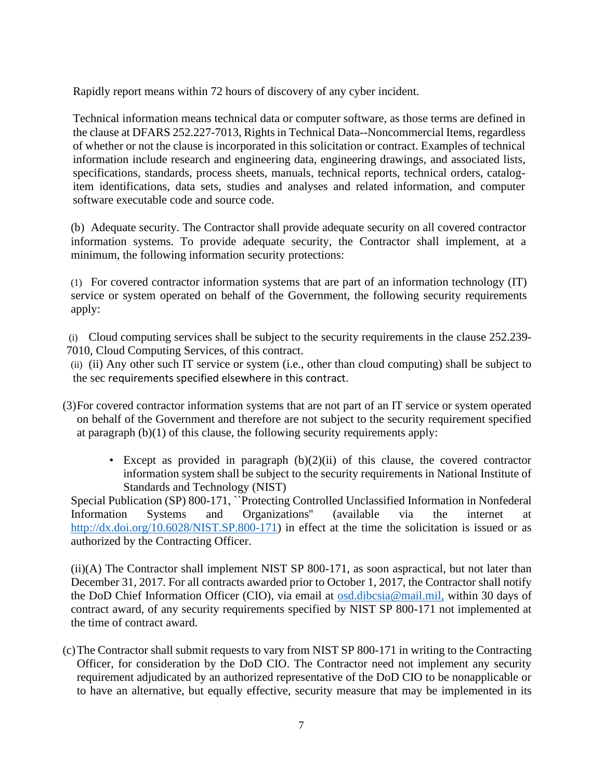Rapidly report means within 72 hours of discovery of any cyber incident.

Technical information means technical data or computer software, as those terms are defined in the clause at DFARS 252.227-7013, Rights in Technical Data--Noncommercial Items, regardless of whether or not the clause is incorporated in this solicitation or contract. Examples of technical information include research and engineering data, engineering drawings, and associated lists, specifications, standards, process sheets, manuals, technical reports, technical orders, catalogitem identifications, data sets, studies and analyses and related information, and computer software executable code and source code.

(b) Adequate security. The Contractor shall provide adequate security on all covered contractor information systems. To provide adequate security, the Contractor shall implement, at a minimum, the following information security protections:

(1) For covered contractor information systems that are part of an information technology (IT) service or system operated on behalf of the Government, the following security requirements apply:

(i) Cloud computing services shall be subject to the security requirements in the clause 252.239- 7010, Cloud Computing Services, of this contract.

(ii) (ii) Any other such IT service or system (i.e., other than cloud computing) shall be subject to the sec requirements specified elsewhere in this contract.

- (3)For covered contractor information systems that are not part of an IT service or system operated on behalf of the Government and therefore are not subject to the security requirement specified at paragraph (b)(1) of this clause, the following security requirements apply:
	- Except as provided in paragraph  $(b)(2)(ii)$  of this clause, the covered contractor information system shall be subject to the security requirements in National Institute of Standards and Technology (NIST)

Special Publication (SP) 800-171, ``Protecting Controlled Unclassified Information in Nonfederal Information Systems and Organizations'' (available via the internet at [http://dx.doi.org/10.6028/NIST.SP.800-171\)](http://dx.doi.org/10.6028/NIST.SP.800-171) in effect at the time the solicitation is issued or as authorized by the Contracting Officer.

(ii)(A) The Contractor shall implement NIST SP 800-171, as soon aspractical, but not later than December 31, 2017. For all contracts awarded prior to October 1, 2017, the Contractor shall notify the DoD Chief Information Officer (CIO), via email at [osd.dibcsia@mail.mil,](mailto:osd.dibcsia@mail.mil) within 30 days of contract award, of any security requirements specified by NIST SP 800-171 not implemented at the time of contract award.

(c)The Contractor shall submit requests to vary from NIST SP 800-171 in writing to the Contracting Officer, for consideration by the DoD CIO. The Contractor need not implement any security requirement adjudicated by an authorized representative of the DoD CIO to be nonapplicable or to have an alternative, but equally effective, security measure that may be implemented in its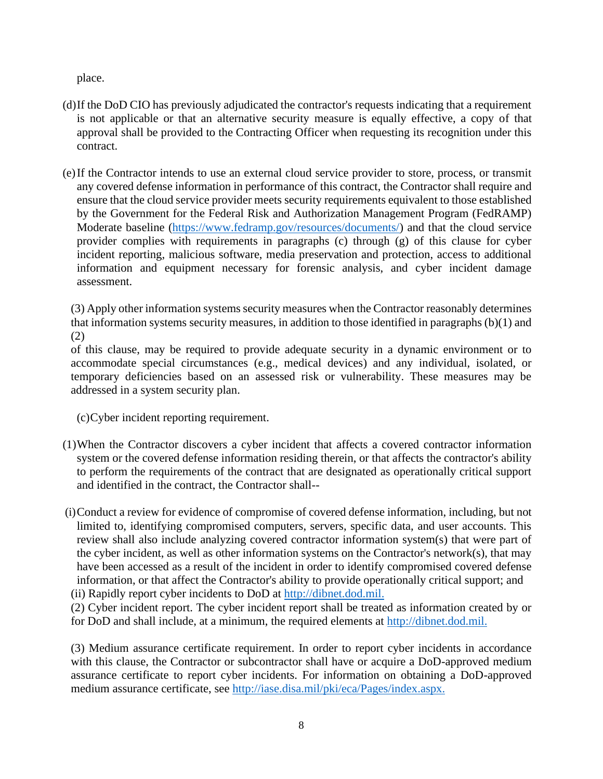place.

- (d)If the DoD CIO has previously adjudicated the contractor's requests indicating that a requirement is not applicable or that an alternative security measure is equally effective, a copy of that approval shall be provided to the Contracting Officer when requesting its recognition under this contract.
- (e)If the Contractor intends to use an external cloud service provider to store, process, or transmit any covered defense information in performance of this contract, the Contractor shall require and ensure that the cloud service provider meets security requirements equivalent to those established by the Government for the Federal Risk and Authorization Management Program (FedRAMP) Moderate baseline [\(https://www.fedramp.gov/resources/documents/\)](https://www.fedramp.gov/resources/documents/) and that the cloud service provider complies with requirements in paragraphs (c) through (g) of this clause for cyber incident reporting, malicious software, media preservation and protection, access to additional information and equipment necessary for forensic analysis, and cyber incident damage assessment.

(3) Apply other information systems security measures when the Contractor reasonably determines that information systems security measures, in addition to those identified in paragraphs (b)(1) and (2)

of this clause, may be required to provide adequate security in a dynamic environment or to accommodate special circumstances (e.g., medical devices) and any individual, isolated, or temporary deficiencies based on an assessed risk or vulnerability. These measures may be addressed in a system security plan.

(c)Cyber incident reporting requirement.

- (1)When the Contractor discovers a cyber incident that affects a covered contractor information system or the covered defense information residing therein, or that affects the contractor's ability to perform the requirements of the contract that are designated as operationally critical support and identified in the contract, the Contractor shall--
- (i)Conduct a review for evidence of compromise of covered defense information, including, but not limited to, identifying compromised computers, servers, specific data, and user accounts. This review shall also include analyzing covered contractor information system(s) that were part of the cyber incident, as well as other information systems on the Contractor's network(s), that may have been accessed as a result of the incident in order to identify compromised covered defense information, or that affect the Contractor's ability to provide operationally critical support; and

(ii) Rapidly report cyber incidents to DoD at [http://dibnet.dod.mil.](http://dibnet.dod.mil/)

(2) Cyber incident report. The cyber incident report shall be treated as information created by or for DoD and shall include, at a minimum, the required elements at [http://dibnet.dod.mil.](http://dibnet.dod.mil/)

(3) Medium assurance certificate requirement. In order to report cyber incidents in accordance with this clause, the Contractor or subcontractor shall have or acquire a DoD-approved medium assurance certificate to report cyber incidents. For information on obtaining a DoD-approved medium assurance certificate, see [http://iase.disa.mil/pki/eca/Pages/index.aspx.](http://iase.disa.mil/pki/eca/Pages/index.aspx)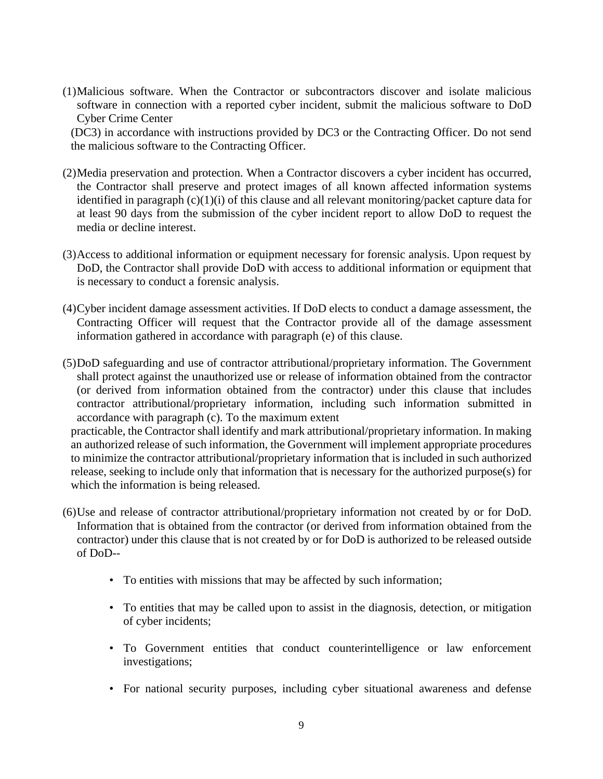(1)Malicious software. When the Contractor or subcontractors discover and isolate malicious software in connection with a reported cyber incident, submit the malicious software to DoD Cyber Crime Center

(DC3) in accordance with instructions provided by DC3 or the Contracting Officer. Do not send the malicious software to the Contracting Officer.

- (2)Media preservation and protection. When a Contractor discovers a cyber incident has occurred, the Contractor shall preserve and protect images of all known affected information systems identified in paragraph (c)(1)(i) of this clause and all relevant monitoring/packet capture data for at least 90 days from the submission of the cyber incident report to allow DoD to request the media or decline interest.
- (3)Access to additional information or equipment necessary for forensic analysis. Upon request by DoD, the Contractor shall provide DoD with access to additional information or equipment that is necessary to conduct a forensic analysis.
- (4)Cyber incident damage assessment activities. If DoD elects to conduct a damage assessment, the Contracting Officer will request that the Contractor provide all of the damage assessment information gathered in accordance with paragraph (e) of this clause.
- (5)DoD safeguarding and use of contractor attributional/proprietary information. The Government shall protect against the unauthorized use or release of information obtained from the contractor (or derived from information obtained from the contractor) under this clause that includes contractor attributional/proprietary information, including such information submitted in accordance with paragraph (c). To the maximum extent

practicable, the Contractor shall identify and mark attributional/proprietary information. In making an authorized release of such information, the Government will implement appropriate procedures to minimize the contractor attributional/proprietary information that is included in such authorized release, seeking to include only that information that is necessary for the authorized purpose(s) for which the information is being released.

- (6)Use and release of contractor attributional/proprietary information not created by or for DoD. Information that is obtained from the contractor (or derived from information obtained from the contractor) under this clause that is not created by or for DoD is authorized to be released outside of DoD--
	- To entities with missions that may be affected by such information;
	- To entities that may be called upon to assist in the diagnosis, detection, or mitigation of cyber incidents;
	- To Government entities that conduct counterintelligence or law enforcement investigations;
	- For national security purposes, including cyber situational awareness and defense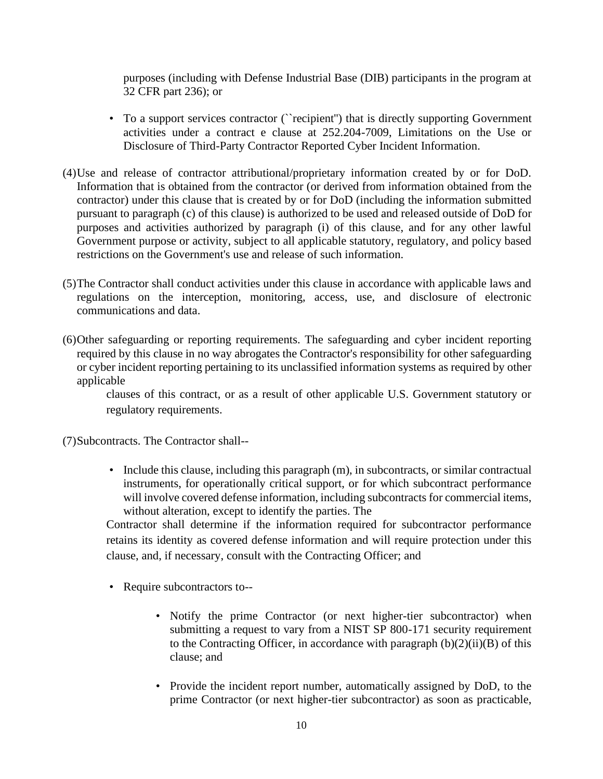purposes (including with Defense Industrial Base (DIB) participants in the program at 32 CFR part 236); or

- To a support services contractor ("recipient") that is directly supporting Government activities under a contract e clause at 252.204-7009, Limitations on the Use or Disclosure of Third-Party Contractor Reported Cyber Incident Information.
- (4)Use and release of contractor attributional/proprietary information created by or for DoD. Information that is obtained from the contractor (or derived from information obtained from the contractor) under this clause that is created by or for DoD (including the information submitted pursuant to paragraph (c) of this clause) is authorized to be used and released outside of DoD for purposes and activities authorized by paragraph (i) of this clause, and for any other lawful Government purpose or activity, subject to all applicable statutory, regulatory, and policy based restrictions on the Government's use and release of such information.
- (5)The Contractor shall conduct activities under this clause in accordance with applicable laws and regulations on the interception, monitoring, access, use, and disclosure of electronic communications and data.
- (6)Other safeguarding or reporting requirements. The safeguarding and cyber incident reporting required by this clause in no way abrogates the Contractor's responsibility for other safeguarding or cyber incident reporting pertaining to its unclassified information systems as required by other applicable

clauses of this contract, or as a result of other applicable U.S. Government statutory or regulatory requirements.

(7)Subcontracts. The Contractor shall--

• Include this clause, including this paragraph  $(m)$ , in subcontracts, or similar contractual instruments, for operationally critical support, or for which subcontract performance will involve covered defense information, including subcontracts for commercial items, without alteration, except to identify the parties. The

Contractor shall determine if the information required for subcontractor performance retains its identity as covered defense information and will require protection under this clause, and, if necessary, consult with the Contracting Officer; and

- Require subcontractors to--
	- Notify the prime Contractor (or next higher-tier subcontractor) when submitting a request to vary from a NIST SP 800-171 security requirement to the Contracting Officer, in accordance with paragraph  $(b)(2)(ii)(B)$  of this clause; and
	- Provide the incident report number, automatically assigned by DoD, to the prime Contractor (or next higher-tier subcontractor) as soon as practicable,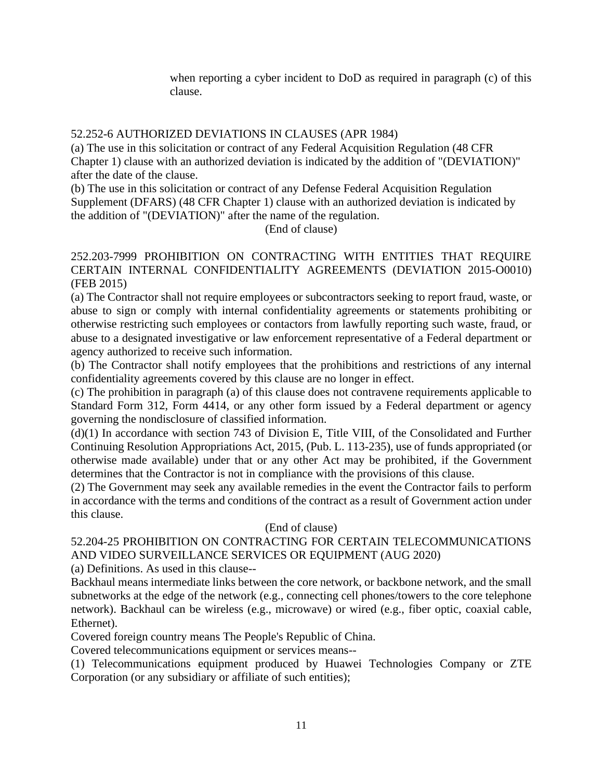when reporting a cyber incident to DoD as required in paragraph (c) of this clause.

# 52.252-6 AUTHORIZED DEVIATIONS IN CLAUSES (APR 1984)

(a) The use in this solicitation or contract of any Federal Acquisition Regulation (48 CFR Chapter 1) clause with an authorized deviation is indicated by the addition of "(DEVIATION)" after the date of the clause.

(b) The use in this solicitation or contract of any Defense Federal Acquisition Regulation Supplement (DFARS) (48 CFR Chapter 1) clause with an authorized deviation is indicated by the addition of "(DEVIATION)" after the name of the regulation.

(End of clause)

252.203-7999 PROHIBITION ON CONTRACTING WITH ENTITIES THAT REQUIRE CERTAIN INTERNAL CONFIDENTIALITY AGREEMENTS (DEVIATION 2015-O0010) (FEB 2015)

(a) The Contractor shall not require employees or subcontractors seeking to report fraud, waste, or abuse to sign or comply with internal confidentiality agreements or statements prohibiting or otherwise restricting such employees or contactors from lawfully reporting such waste, fraud, or abuse to a designated investigative or law enforcement representative of a Federal department or agency authorized to receive such information.

(b) The Contractor shall notify employees that the prohibitions and restrictions of any internal confidentiality agreements covered by this clause are no longer in effect.

(c) The prohibition in paragraph (a) of this clause does not contravene requirements applicable to Standard Form 312, Form 4414, or any other form issued by a Federal department or agency governing the nondisclosure of classified information.

(d)(1) In accordance with section 743 of Division E, Title VIII, of the Consolidated and Further Continuing Resolution Appropriations Act, 2015, (Pub. L. 113-235), use of funds appropriated (or otherwise made available) under that or any other Act may be prohibited, if the Government determines that the Contractor is not in compliance with the provisions of this clause.

(2) The Government may seek any available remedies in the event the Contractor fails to perform in accordance with the terms and conditions of the contract as a result of Government action under this clause.

(End of clause)

52.204-25 PROHIBITION ON CONTRACTING FOR CERTAIN TELECOMMUNICATIONS AND VIDEO SURVEILLANCE SERVICES OR EQUIPMENT (AUG 2020)

(a) Definitions. As used in this clause--

Backhaul means intermediate links between the core network, or backbone network, and the small subnetworks at the edge of the network (e.g., connecting cell phones/towers to the core telephone network). Backhaul can be wireless (e.g., microwave) or wired (e.g., fiber optic, coaxial cable, Ethernet).

Covered foreign country means The People's Republic of China.

Covered telecommunications equipment or services means--

(1) Telecommunications equipment produced by Huawei Technologies Company or ZTE Corporation (or any subsidiary or affiliate of such entities);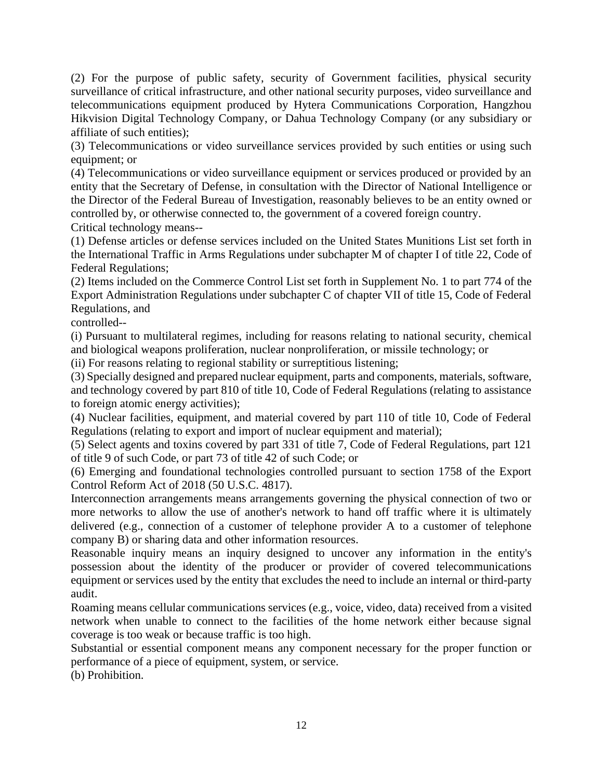(2) For the purpose of public safety, security of Government facilities, physical security surveillance of critical infrastructure, and other national security purposes, video surveillance and telecommunications equipment produced by Hytera Communications Corporation, Hangzhou Hikvision Digital Technology Company, or Dahua Technology Company (or any subsidiary or affiliate of such entities);

(3) Telecommunications or video surveillance services provided by such entities or using such equipment; or

(4) Telecommunications or video surveillance equipment or services produced or provided by an entity that the Secretary of Defense, in consultation with the Director of National Intelligence or the Director of the Federal Bureau of Investigation, reasonably believes to be an entity owned or controlled by, or otherwise connected to, the government of a covered foreign country. Critical technology means--

(1) Defense articles or defense services included on the United States Munitions List set forth in the International Traffic in Arms Regulations under subchapter M of chapter I of title 22, Code of Federal Regulations;

(2) Items included on the Commerce Control List set forth in Supplement No. 1 to part 774 of the Export Administration Regulations under subchapter C of chapter VII of title 15, Code of Federal Regulations, and

controlled--

(i) Pursuant to multilateral regimes, including for reasons relating to national security, chemical and biological weapons proliferation, nuclear nonproliferation, or missile technology; or

(ii) For reasons relating to regional stability or surreptitious listening;

(3) Specially designed and prepared nuclear equipment, parts and components, materials, software, and technology covered by part 810 of title 10, Code of Federal Regulations (relating to assistance to foreign atomic energy activities);

(4) Nuclear facilities, equipment, and material covered by part 110 of title 10, Code of Federal Regulations (relating to export and import of nuclear equipment and material);

(5) Select agents and toxins covered by part 331 of title 7, Code of Federal Regulations, part 121 of title 9 of such Code, or part 73 of title 42 of such Code; or

(6) Emerging and foundational technologies controlled pursuant to section 1758 of the Export Control Reform Act of 2018 (50 U.S.C. 4817).

Interconnection arrangements means arrangements governing the physical connection of two or more networks to allow the use of another's network to hand off traffic where it is ultimately delivered (e.g., connection of a customer of telephone provider A to a customer of telephone company B) or sharing data and other information resources.

Reasonable inquiry means an inquiry designed to uncover any information in the entity's possession about the identity of the producer or provider of covered telecommunications equipment or services used by the entity that excludes the need to include an internal or third-party audit.

Roaming means cellular communications services (e.g., voice, video, data) received from a visited network when unable to connect to the facilities of the home network either because signal coverage is too weak or because traffic is too high.

Substantial or essential component means any component necessary for the proper function or performance of a piece of equipment, system, or service.

(b) Prohibition.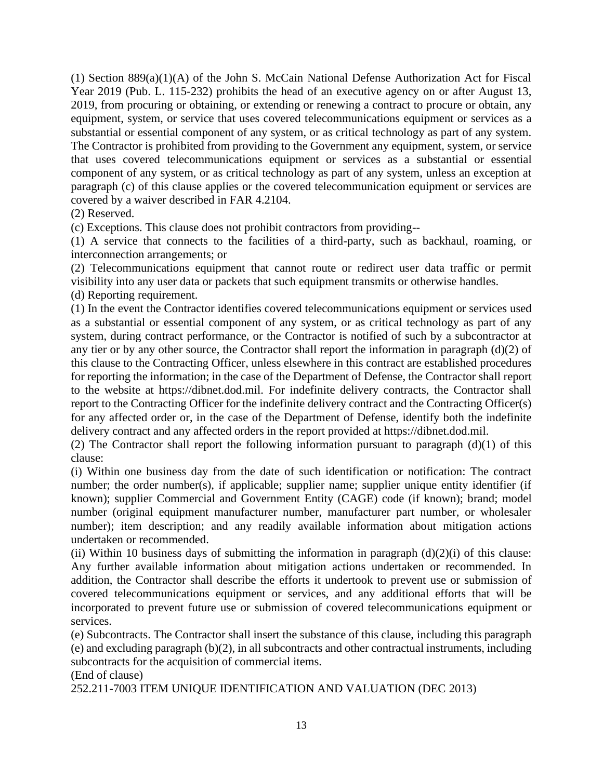(1) Section 889(a)(1)(A) of the John S. McCain National Defense Authorization Act for Fiscal Year 2019 (Pub. L. 115-232) prohibits the head of an executive agency on or after August 13, 2019, from procuring or obtaining, or extending or renewing a contract to procure or obtain, any equipment, system, or service that uses covered telecommunications equipment or services as a substantial or essential component of any system, or as critical technology as part of any system. The Contractor is prohibited from providing to the Government any equipment, system, or service that uses covered telecommunications equipment or services as a substantial or essential component of any system, or as critical technology as part of any system, unless an exception at paragraph (c) of this clause applies or the covered telecommunication equipment or services are covered by a waiver described in FAR 4.2104.

(2) Reserved.

(c) Exceptions. This clause does not prohibit contractors from providing--

(1) A service that connects to the facilities of a third-party, such as backhaul, roaming, or interconnection arrangements; or

(2) Telecommunications equipment that cannot route or redirect user data traffic or permit visibility into any user data or packets that such equipment transmits or otherwise handles. (d) Reporting requirement.

(1) In the event the Contractor identifies covered telecommunications equipment or services used as a substantial or essential component of any system, or as critical technology as part of any system, during contract performance, or the Contractor is notified of such by a subcontractor at any tier or by any other source, the Contractor shall report the information in paragraph (d)(2) of this clause to the Contracting Officer, unless elsewhere in this contract are established procedures for reporting the information; in the case of the Department of Defense, the Contractor shall report to the website at https://dibnet.dod.mil. For indefinite delivery contracts, the Contractor shall report to the Contracting Officer for the indefinite delivery contract and the Contracting Officer(s) for any affected order or, in the case of the Department of Defense, identify both the indefinite delivery contract and any affected orders in the report provided at https://dibnet.dod.mil.

(2) The Contractor shall report the following information pursuant to paragraph  $(d)(1)$  of this clause:

(i) Within one business day from the date of such identification or notification: The contract number; the order number(s), if applicable; supplier name; supplier unique entity identifier (if known); supplier Commercial and Government Entity (CAGE) code (if known); brand; model number (original equipment manufacturer number, manufacturer part number, or wholesaler number); item description; and any readily available information about mitigation actions undertaken or recommended.

(ii) Within 10 business days of submitting the information in paragraph  $(d)(2)(i)$  of this clause: Any further available information about mitigation actions undertaken or recommended. In addition, the Contractor shall describe the efforts it undertook to prevent use or submission of covered telecommunications equipment or services, and any additional efforts that will be incorporated to prevent future use or submission of covered telecommunications equipment or services.

(e) Subcontracts. The Contractor shall insert the substance of this clause, including this paragraph (e) and excluding paragraph (b)(2), in all subcontracts and other contractual instruments, including subcontracts for the acquisition of commercial items.

(End of clause)

252.211-7003 ITEM UNIQUE IDENTIFICATION AND VALUATION (DEC 2013)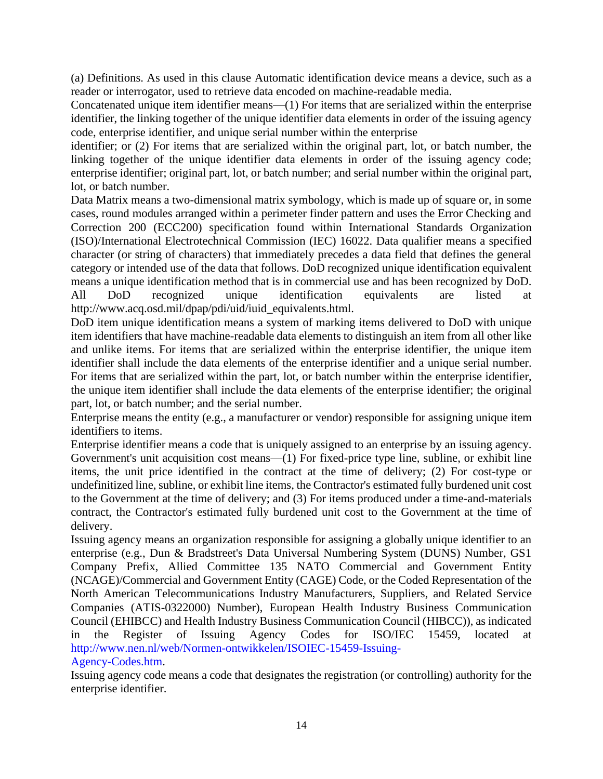(a) Definitions. As used in this clause Automatic identification device means a device, such as a reader or interrogator, used to retrieve data encoded on machine-readable media.

Concatenated unique item identifier means—(1) For items that are serialized within the enterprise identifier, the linking together of the unique identifier data elements in order of the issuing agency code, enterprise identifier, and unique serial number within the enterprise

identifier; or (2) For items that are serialized within the original part, lot, or batch number, the linking together of the unique identifier data elements in order of the issuing agency code; enterprise identifier; original part, lot, or batch number; and serial number within the original part, lot, or batch number.

Data Matrix means a two-dimensional matrix symbology, which is made up of square or, in some cases, round modules arranged within a perimeter finder pattern and uses the Error Checking and Correction 200 (ECC200) specification found within International Standards Organization (ISO)/International Electrotechnical Commission (IEC) 16022. Data qualifier means a specified character (or string of characters) that immediately precedes a data field that defines the general category or intended use of the data that follows. DoD recognized unique identification equivalent means a unique identification method that is in commercial use and has been recognized by DoD. All DoD recognized unique identification equivalents are listed at http://www.acq.osd.mil/dpap/pdi/uid/iuid\_equivalents.html.

DoD item unique identification means a system of marking items delivered to DoD with unique item identifiers that have machine-readable data elements to distinguish an item from all other like and unlike items. For items that are serialized within the enterprise identifier, the unique item identifier shall include the data elements of the enterprise identifier and a unique serial number. For items that are serialized within the part, lot, or batch number within the enterprise identifier, the unique item identifier shall include the data elements of the enterprise identifier; the original part, lot, or batch number; and the serial number.

Enterprise means the entity (e.g., a manufacturer or vendor) responsible for assigning unique item identifiers to items.

Enterprise identifier means a code that is uniquely assigned to an enterprise by an issuing agency. Government's unit acquisition cost means—(1) For fixed-price type line, subline, or exhibit line items, the unit price identified in the contract at the time of delivery; (2) For cost-type or undefinitized line, subline, or exhibit line items, the Contractor's estimated fully burdened unit cost to the Government at the time of delivery; and (3) For items produced under a time-and-materials contract, the Contractor's estimated fully burdened unit cost to the Government at the time of delivery.

Issuing agency means an organization responsible for assigning a globally unique identifier to an enterprise (e.g., Dun & Bradstreet's Data Universal Numbering System (DUNS) Number, GS1 Company Prefix, Allied Committee 135 NATO Commercial and Government Entity (NCAGE)/Commercial and Government Entity (CAGE) Code, or the Coded Representation of the North American Telecommunications Industry Manufacturers, Suppliers, and Related Service Companies (ATIS-0322000) Number), European Health Industry Business Communication Council (EHIBCC) and Health Industry Business Communication Council (HIBCC)), as indicated in the Register of Issuing Agency Codes for ISO/IEC 15459, located at http://www.nen.nl/web/Normen-ontwikkelen/ISOIEC-15459-Issuing-

#### Agency-Codes.htm.

Issuing agency code means a code that designates the registration (or controlling) authority for the enterprise identifier.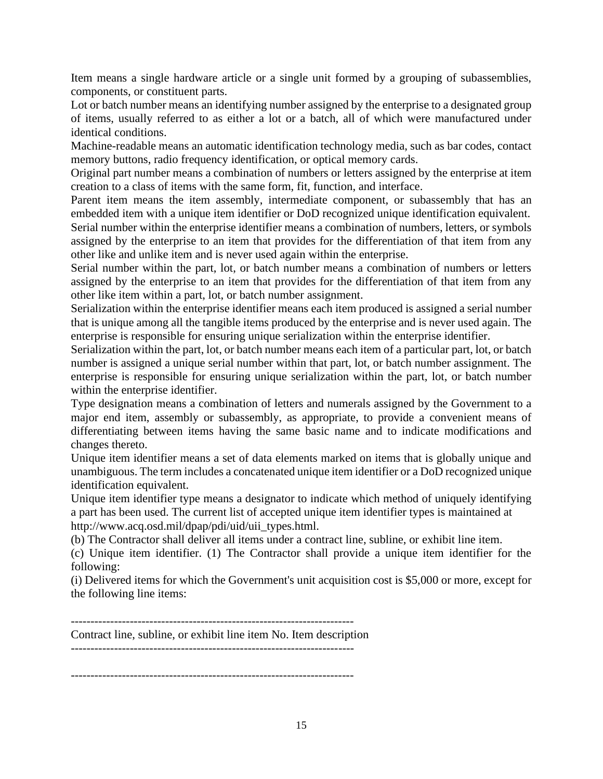Item means a single hardware article or a single unit formed by a grouping of subassemblies, components, or constituent parts.

Lot or batch number means an identifying number assigned by the enterprise to a designated group of items, usually referred to as either a lot or a batch, all of which were manufactured under identical conditions.

Machine-readable means an automatic identification technology media, such as bar codes, contact memory buttons, radio frequency identification, or optical memory cards.

Original part number means a combination of numbers or letters assigned by the enterprise at item creation to a class of items with the same form, fit, function, and interface.

Parent item means the item assembly, intermediate component, or subassembly that has an embedded item with a unique item identifier or DoD recognized unique identification equivalent. Serial number within the enterprise identifier means a combination of numbers, letters, or symbols assigned by the enterprise to an item that provides for the differentiation of that item from any other like and unlike item and is never used again within the enterprise.

Serial number within the part, lot, or batch number means a combination of numbers or letters assigned by the enterprise to an item that provides for the differentiation of that item from any other like item within a part, lot, or batch number assignment.

Serialization within the enterprise identifier means each item produced is assigned a serial number that is unique among all the tangible items produced by the enterprise and is never used again. The enterprise is responsible for ensuring unique serialization within the enterprise identifier.

Serialization within the part, lot, or batch number means each item of a particular part, lot, or batch number is assigned a unique serial number within that part, lot, or batch number assignment. The enterprise is responsible for ensuring unique serialization within the part, lot, or batch number within the enterprise identifier.

Type designation means a combination of letters and numerals assigned by the Government to a major end item, assembly or subassembly, as appropriate, to provide a convenient means of differentiating between items having the same basic name and to indicate modifications and changes thereto.

Unique item identifier means a set of data elements marked on items that is globally unique and unambiguous. The term includes a concatenated unique item identifier or a DoD recognized unique identification equivalent.

Unique item identifier type means a designator to indicate which method of uniquely identifying a part has been used. The current list of accepted unique item identifier types is maintained at http://www.acq.osd.mil/dpap/pdi/uid/uii\_types.html.

(b) The Contractor shall deliver all items under a contract line, subline, or exhibit line item.

(c) Unique item identifier. (1) The Contractor shall provide a unique item identifier for the following:

(i) Delivered items for which the Government's unit acquisition cost is \$5,000 or more, except for the following line items:

------------------------------------------------------------------------ Contract line, subline, or exhibit line item No. Item description ------------------------------------------------------------------------

------------------------------------------------------------------------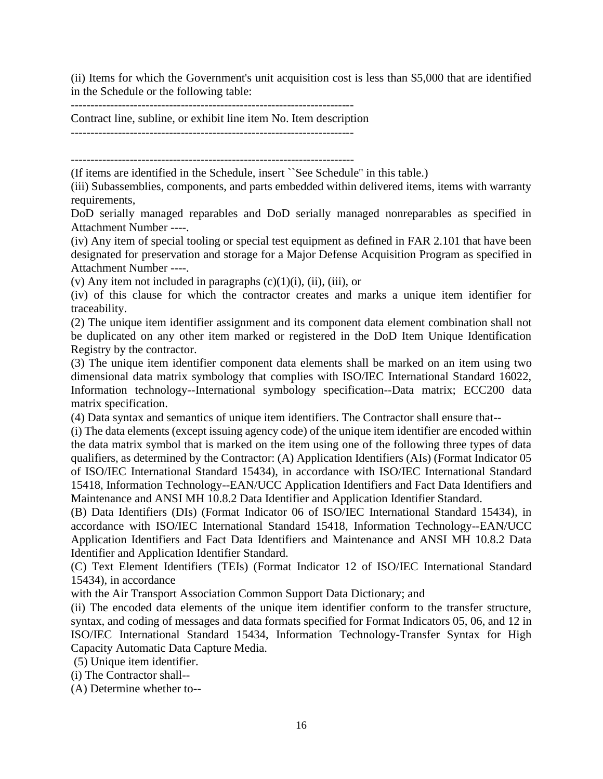(ii) Items for which the Government's unit acquisition cost is less than \$5,000 that are identified in the Schedule or the following table:

------------------------------------------------------------------------

Contract line, subline, or exhibit line item No. Item description

------------------------------------------------------------------------

------------------------------------------------------------------------

(If items are identified in the Schedule, insert ``See Schedule'' in this table.)

(iii) Subassemblies, components, and parts embedded within delivered items, items with warranty requirements,

DoD serially managed reparables and DoD serially managed nonreparables as specified in Attachment Number ----.

(iv) Any item of special tooling or special test equipment as defined in FAR 2.101 that have been designated for preservation and storage for a Major Defense Acquisition Program as specified in Attachment Number ----.

(v) Any item not included in paragraphs  $(c)(1)(i)$ ,  $(ii)$ ,  $(iii)$ , or

(iv) of this clause for which the contractor creates and marks a unique item identifier for traceability.

(2) The unique item identifier assignment and its component data element combination shall not be duplicated on any other item marked or registered in the DoD Item Unique Identification Registry by the contractor.

(3) The unique item identifier component data elements shall be marked on an item using two dimensional data matrix symbology that complies with ISO/IEC International Standard 16022, Information technology--International symbology specification--Data matrix; ECC200 data matrix specification.

(4) Data syntax and semantics of unique item identifiers. The Contractor shall ensure that--

(i) The data elements (except issuing agency code) of the unique item identifier are encoded within the data matrix symbol that is marked on the item using one of the following three types of data qualifiers, as determined by the Contractor: (A) Application Identifiers (AIs) (Format Indicator 05 of ISO/IEC International Standard 15434), in accordance with ISO/IEC International Standard 15418, Information Technology--EAN/UCC Application Identifiers and Fact Data Identifiers and Maintenance and ANSI MH 10.8.2 Data Identifier and Application Identifier Standard.

(B) Data Identifiers (DIs) (Format Indicator 06 of ISO/IEC International Standard 15434), in accordance with ISO/IEC International Standard 15418, Information Technology--EAN/UCC Application Identifiers and Fact Data Identifiers and Maintenance and ANSI MH 10.8.2 Data Identifier and Application Identifier Standard.

(C) Text Element Identifiers (TEIs) (Format Indicator 12 of ISO/IEC International Standard 15434), in accordance

with the Air Transport Association Common Support Data Dictionary; and

(ii) The encoded data elements of the unique item identifier conform to the transfer structure, syntax, and coding of messages and data formats specified for Format Indicators 05, 06, and 12 in ISO/IEC International Standard 15434, Information Technology-Transfer Syntax for High Capacity Automatic Data Capture Media.

(5) Unique item identifier.

(i) The Contractor shall--

(A) Determine whether to--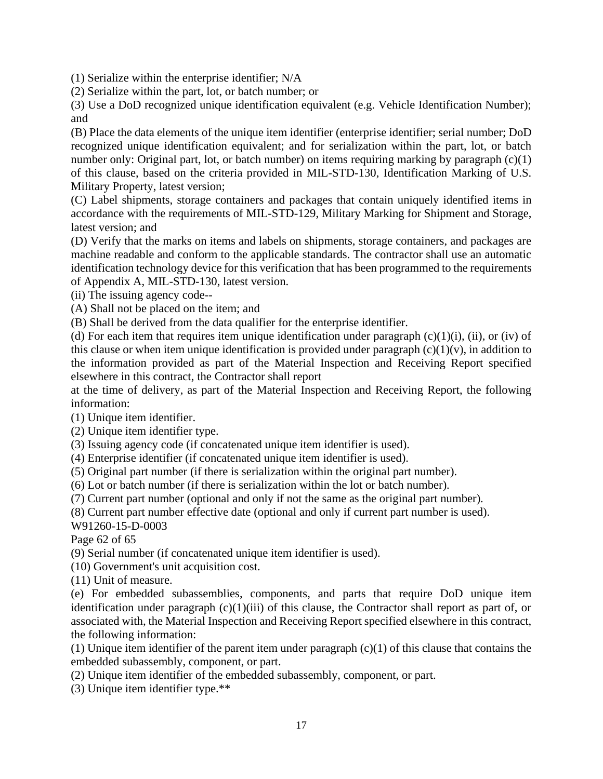(1) Serialize within the enterprise identifier; N/A

(2) Serialize within the part, lot, or batch number; or

(3) Use a DoD recognized unique identification equivalent (e.g. Vehicle Identification Number); and

(B) Place the data elements of the unique item identifier (enterprise identifier; serial number; DoD recognized unique identification equivalent; and for serialization within the part, lot, or batch number only: Original part, lot, or batch number) on items requiring marking by paragraph (c)(1) of this clause, based on the criteria provided in MIL-STD-130, Identification Marking of U.S. Military Property, latest version;

(C) Label shipments, storage containers and packages that contain uniquely identified items in accordance with the requirements of MIL-STD-129, Military Marking for Shipment and Storage, latest version; and

(D) Verify that the marks on items and labels on shipments, storage containers, and packages are machine readable and conform to the applicable standards. The contractor shall use an automatic identification technology device for this verification that has been programmed to the requirements of Appendix A, MIL-STD-130, latest version.

(ii) The issuing agency code--

(A) Shall not be placed on the item; and

(B) Shall be derived from the data qualifier for the enterprise identifier.

(d) For each item that requires item unique identification under paragraph  $(c)(1)(i)$ , (ii), or (iv) of this clause or when item unique identification is provided under paragraph  $(c)(1)(v)$ , in addition to the information provided as part of the Material Inspection and Receiving Report specified elsewhere in this contract, the Contractor shall report

at the time of delivery, as part of the Material Inspection and Receiving Report, the following information:

(1) Unique item identifier.

(2) Unique item identifier type.

(3) Issuing agency code (if concatenated unique item identifier is used).

(4) Enterprise identifier (if concatenated unique item identifier is used).

(5) Original part number (if there is serialization within the original part number).

(6) Lot or batch number (if there is serialization within the lot or batch number).

(7) Current part number (optional and only if not the same as the original part number).

(8) Current part number effective date (optional and only if current part number is used).

W91260-15-D-0003

Page 62 of 65

(9) Serial number (if concatenated unique item identifier is used).

(10) Government's unit acquisition cost.

(11) Unit of measure.

(e) For embedded subassemblies, components, and parts that require DoD unique item identification under paragraph (c)(1)(iii) of this clause, the Contractor shall report as part of, or associated with, the Material Inspection and Receiving Report specified elsewhere in this contract, the following information:

(1) Unique item identifier of the parent item under paragraph (c)(1) of this clause that contains the embedded subassembly, component, or part.

(2) Unique item identifier of the embedded subassembly, component, or part.

(3) Unique item identifier type.\*\*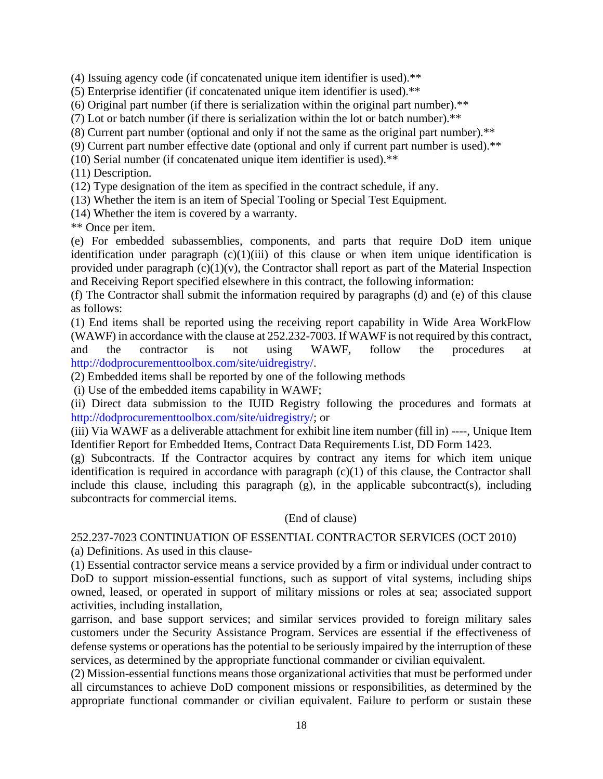(4) Issuing agency code (if concatenated unique item identifier is used).\*\*

(5) Enterprise identifier (if concatenated unique item identifier is used).\*\*

(6) Original part number (if there is serialization within the original part number).\*\*

(7) Lot or batch number (if there is serialization within the lot or batch number).\*\*

(8) Current part number (optional and only if not the same as the original part number).\*\*

(9) Current part number effective date (optional and only if current part number is used).\*\*

(10) Serial number (if concatenated unique item identifier is used).\*\*

(11) Description.

(12) Type designation of the item as specified in the contract schedule, if any.

(13) Whether the item is an item of Special Tooling or Special Test Equipment.

(14) Whether the item is covered by a warranty.

\*\* Once per item.

(e) For embedded subassemblies, components, and parts that require DoD item unique identification under paragraph  $(c)(1)(iii)$  of this clause or when item unique identification is provided under paragraph  $(c)(1)(v)$ , the Contractor shall report as part of the Material Inspection and Receiving Report specified elsewhere in this contract, the following information:

(f) The Contractor shall submit the information required by paragraphs (d) and (e) of this clause as follows:

(1) End items shall be reported using the receiving report capability in Wide Area WorkFlow (WAWF) in accordance with the clause at 252.232-7003. If WAWF is not required by this contract, and the contractor is not using WAWF, follow the procedures at http://dodprocurementtoolbox.com/site/uidregistry/.

(2) Embedded items shall be reported by one of the following methods

(i) Use of the embedded items capability in WAWF;

(ii) Direct data submission to the IUID Registry following the procedures and formats at http://dodprocurementtoolbox.com/site/uidregistry/; or

(iii) Via WAWF as a deliverable attachment for exhibit line item number (fill in) ----, Unique Item Identifier Report for Embedded Items, Contract Data Requirements List, DD Form 1423.

(g) Subcontracts. If the Contractor acquires by contract any items for which item unique identification is required in accordance with paragraph (c)(1) of this clause, the Contractor shall include this clause, including this paragraph (g), in the applicable subcontract(s), including subcontracts for commercial items.

#### (End of clause)

252.237-7023 CONTINUATION OF ESSENTIAL CONTRACTOR SERVICES (OCT 2010)

(a) Definitions. As used in this clause-

(1) Essential contractor service means a service provided by a firm or individual under contract to DoD to support mission-essential functions, such as support of vital systems, including ships owned, leased, or operated in support of military missions or roles at sea; associated support activities, including installation,

garrison, and base support services; and similar services provided to foreign military sales customers under the Security Assistance Program. Services are essential if the effectiveness of defense systems or operations has the potential to be seriously impaired by the interruption of these services, as determined by the appropriate functional commander or civilian equivalent.

(2) Mission-essential functions means those organizational activities that must be performed under all circumstances to achieve DoD component missions or responsibilities, as determined by the appropriate functional commander or civilian equivalent. Failure to perform or sustain these